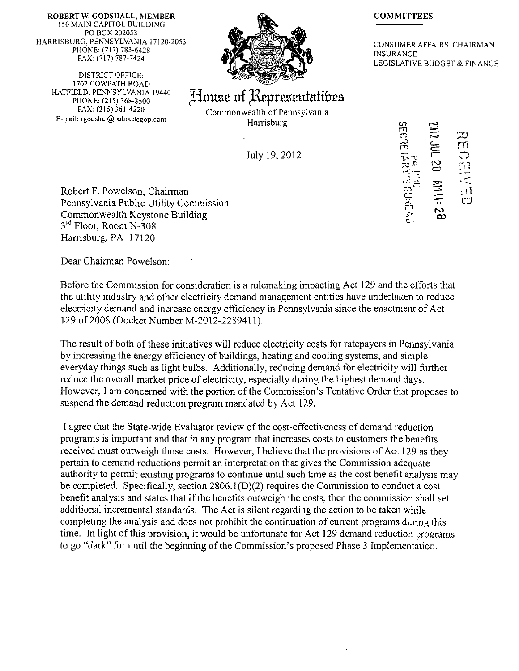ROBERT W. GODSHALL, MEMBER 150 MAIN CAPITOL BUILDING PO BOX 202053 HARRISBURG. PENNSYLVANIA 17120-2053 PHONE: (717) 783-6428 FAX: (717) 787-7424

DISTRICT OFFICE: 1 702 COWPATH ROAD HATFIELD. PENNSYLVANIA 19440 PHONE: (215) 368-3500 FAX: (215) 361-4220 E-mail: rgodshal@pahousegop.coni



## House of Representatibes

Commonwealth of Pennsylvania Harrisburg

July 19, 2012

## **COMMITTEES**

CONSUMER AFFAIRS. CHAIRMAN INSURANCE LEGISLATIVE BUDGET & FINANCE

Robert F. Powelson, Chairman Pennsylvania Public Utility Commission Commonwealth Keystone Building 3<sup>rd</sup> Floor, Room N-308 Harrisburg, PA 17120

Dear Chairman Powelson:

Before the Commission for consideration is a rulemaking impacting Act 129 and the efforts that the utility industry and other electricity demand management entities have undertaken to reduce electricity demand and increase energy efficiency in Pennsylvania since the enactment of Act 129 of 2008 (Docket Number M-2012-2289411).

The result of both of these initiatives will reduce electricity costs for ratepayers in Pennsylvania by increasing the energy efficiency of buildings, heating and cooling systems, and simple everyday things such as light bulbs. Additionally, reducing demand for electricity will further reduce the overall market price of electricity, especially during the highest demand days. However, I am concerned with the portion of the Commission's Tentative Order that proposes to suspend the demand reduction program mandated by Act 129.

1 agree that the State-wide Evaluator review of the cost-effectiveness of demand reduction programs is important and that in any program that increases costs to customers the benefits received must outweigh those costs. However, I believe that the provisions of Act 129 as they pertain to demand reductions permit an interpretation that gives the Commission adequate authority to permit existing programs to continue until such time as the cost benefit analysis may be completed. Specifically, section 2806.1(D)(2) requires the Commission to conduct a cost benefit analysis and states that if the benefits outweigh the costs, then the commission shall set additional incremental standards. The Act is silent regarding the action to be taken while completing the analysis and does not prohibit the continuation of current programs during this time. In light of this provision, it would be unfortunate for Act 129 demand reduction programs to go "dark" for until the beginning of the Commission's proposed Phase 3 Implementation.

**c/i m m o ^3 m C—**   $\frac{1}{\mathcal{D}}$   $\chi$   $\Gamma$ 当六世 **o cr; —**   $\Box$ **rn CD** 

**c:**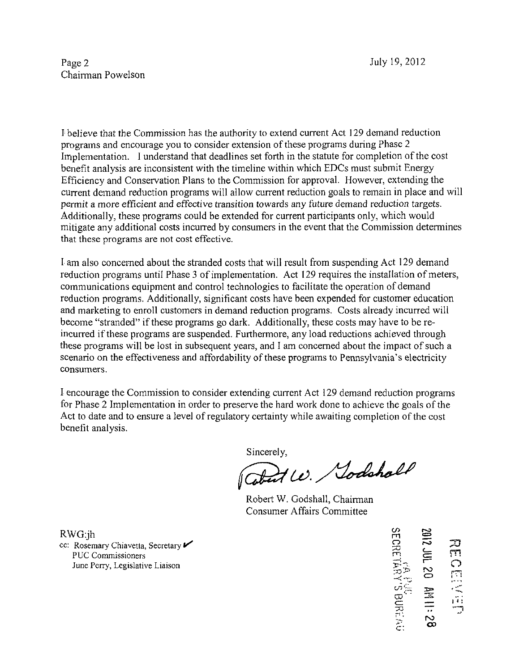I believe that the Commission has the authority to extend current Act 129 demand reduction programs and encourage you to consider extension of these programs during Phase 2 Implementation. I understand that deadlines set forth in the statute for completion of the cost benefit analysis are inconsistent with the timeline within which EDCs must submit Energy Efficiency and Conservation Plans to the Commission for approval. However, extending the current demand reduction programs will allow current reduction goals to remain in place and will permit a more efficient and effective transition towards any future demand reduction targets. Additionally, these programs could be extended for current participants only, which would mitigate any additional costs incurred by consumers in the event that the Commission determines that these programs are not cost effective.

I am also concerned about the stranded costs that will result from suspending Act 129 demand reduction programs until Phase 3 of implementation. Act 129 requires the installation of meters, communications equipment and control technologies to facilitate the operation of demand reduction programs. Additionally, significant costs have been expended for customer education and marketing to enroll customers in demand reduction programs. Costs already incurred will become "stranded" if these programs go dark. Additionally, these costs may have to be reincurred if these programs are suspended. Furthermore, any load reductions achieved through these programs will be lost in subsequent years, and I am concerned about the impact of such a scenario on the effectiveness and affordability of these programs to Pennsylvania's electricity consumers.

I encourage the Commission to consider extending current Act 129 demand reduction programs for Phase 2 Implementation in order to preserve the hard work done to achieve the goals of the Act to date and to ensure a level of regulatory certainty while awaiting completion of the cost benefit analysis.

Sincerely,<br>Cobert W. Sodshall

Robert W. Godshall, Chairman Consumer Affairs Committee

RWG:jh<br>cc: Rosemary Chiavetta, Secretary interval of the Perry, Legislative Liaison<br>Due Perry, Legislative Liaison<br> $\lim_{\substack{S \to S^* \\ S \to S^*}} \sum_{i=1}^{\infty} \frac{1}{i} \sum_{i=1}^{\infty} \frac{1}{i} \sum_{i=1}^{\infty} \frac{1}{i} \sum_{i=1}^{\infty} \frac{1}{i} \sum_{i=1}^$ **CD**  巴<br> **CD I** II II  $\overline{w}$  $\tilde{z}$ **CD** 

RWG:jh m set  $\mathbb{R}$  m set  $\mathbb{R}$  m set  $\mathbb{R}$  m set  $\mathbb{R}$  m set  $\mathbb{R}$  m set  $\mathbb{R}$  m set  $\mathbb{R}$  m set  $\mathbb{R}$  m set  $\mathbb{R}$  m set  $\mathbb{R}$  m set  $\mathbb{R}$  m set  $\mathbb{R}$  m set  $\mathbb{R}$  m set  $\mathbb{R}$  m se PUC Commissioners June Perry, Legislative Liaison